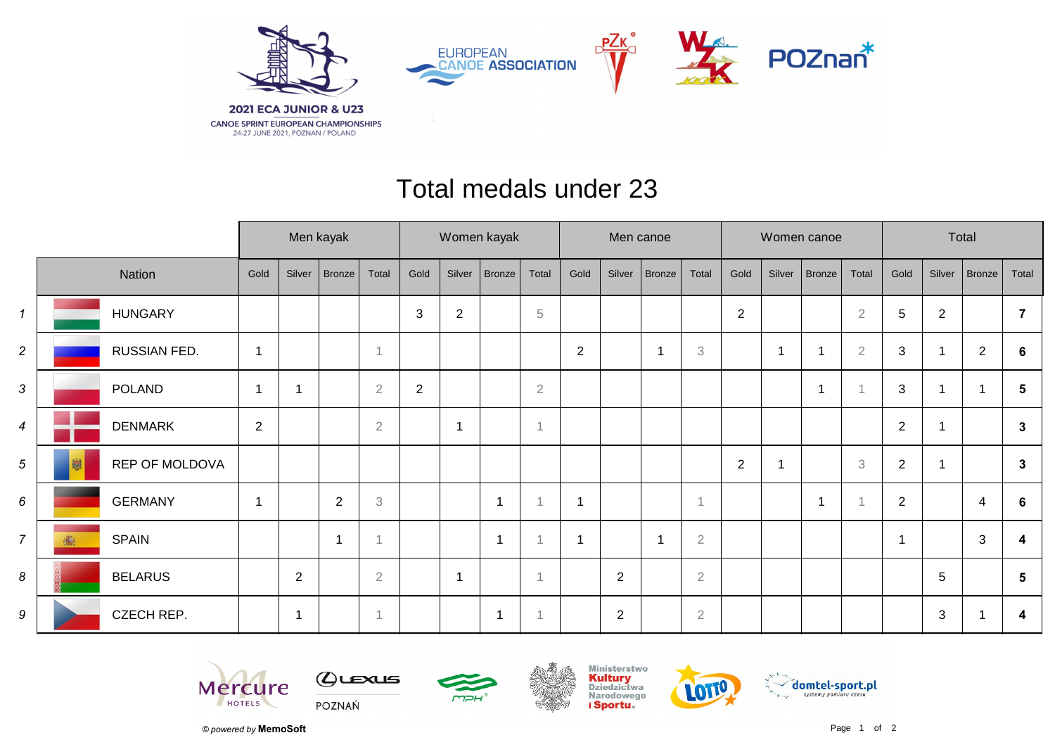

## Total medals under 23

|                |                     | Men kayak      |                |                |                | Women kayak |                |                          |                | Men canoe               |                |                          |                           | Women canoe      |                          |                         |                | Total          |        |                |                 |
|----------------|---------------------|----------------|----------------|----------------|----------------|-------------|----------------|--------------------------|----------------|-------------------------|----------------|--------------------------|---------------------------|------------------|--------------------------|-------------------------|----------------|----------------|--------|----------------|-----------------|
|                | Nation              | Gold           | Silver         | Bronze         | Total          | Gold        | Silver         | <b>Bronze</b>            | Total          | Gold                    | Silver         | Bronze                   | Total                     | Gold             | Silver                   | Bronze                  | Total          | Gold           | Silver | Bronze         | Total           |
| $\mathbf{1}$   | <b>HUNGARY</b>      |                |                |                |                | 3           | $\overline{2}$ |                          | 5              |                         |                |                          |                           | $\boldsymbol{2}$ |                          |                         | $\sqrt{2}$     | $\sqrt{5}$     | 2      |                |                 |
| $\overline{c}$ | RUSSIAN FED.        | $\mathbf{1}$   |                |                |                |             |                |                          |                | $\overline{2}$          |                | -1                       | $\ensuremath{\mathbf{3}}$ |                  | $\overline{\phantom{a}}$ |                         | $\overline{2}$ | 3              | 1      | $\overline{2}$ | 6               |
| 3              | POLAND              |                |                |                | $\overline{2}$ | $\sqrt{2}$  |                |                          | $\overline{2}$ |                         |                |                          |                           |                  |                          | $\overline{\mathbf{1}}$ |                | 3              | 1      |                | 5               |
| $\overline{4}$ | <b>DENMARK</b>      | $\overline{2}$ |                |                | $\overline{2}$ |             | $\overline{1}$ |                          | $\overline{1}$ |                         |                |                          |                           |                  |                          |                         |                | $\overline{2}$ | 1      |                | $\mathbf{3}$    |
| 5              | REP OF MOLDOVA<br>劌 |                |                |                |                |             |                |                          |                |                         |                |                          |                           | $\sqrt{2}$       |                          |                         | 3              | $\overline{2}$ | -1     |                | $\mathbf{3}$    |
| 6              | <b>GERMANY</b>      | -1             |                | $\overline{2}$ | $\mathfrak{Z}$ |             |                | $\overline{\phantom{a}}$ |                | $\overline{1}$          |                |                          | 1                         |                  |                          | $\overline{\mathbf{A}}$ |                | $\overline{2}$ |        | $\overline{4}$ | 6               |
| $\overline{7}$ | <b>SPAIN</b><br>鸁   |                |                | 1              |                |             |                | -1                       |                | $\overline{\mathbf{1}}$ |                | $\overline{\phantom{a}}$ | $\overline{2}$            |                  |                          |                         |                |                |        | 3              | 4               |
| 8              | <b>BELARUS</b>      |                | $\overline{2}$ |                | $\sqrt{2}$     |             | $\overline{1}$ |                          |                |                         | $\overline{2}$ |                          | $\overline{2}$            |                  |                          |                         |                |                | 5      |                | $5\phantom{.0}$ |
| 9              | CZECH REP.          |                | -1             |                |                |             |                |                          |                |                         | $\overline{2}$ |                          | $\overline{2}$            |                  |                          |                         |                |                | 3      |                | 4               |